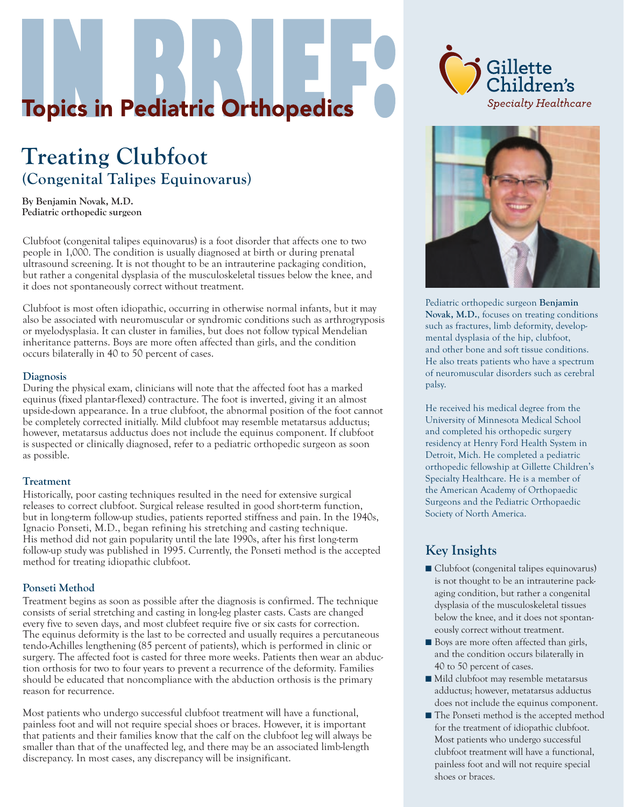# **Topics in Pediatric Orthopedics**

# **Treating Clubfoot (Congenital Talipes Equinovarus)**

**By Benjamin Novak, M.D. Pediatric orthopedic surgeon**

Clubfoot (congenital talipes equinovarus) is a foot disorder that affects one to two people in 1,000. The condition is usually diagnosed at birth or during prenatal ultrasound screening. It is not thought to be an intrauterine packaging condition, but rather a congenital dysplasia of the musculoskeletal tissues below the knee, and it does not spontaneously correct without treatment.

Clubfoot is most often idiopathic, occurring in otherwise normal infants, but it may also be associated with neuromuscular or syndromic conditions such as arthrogryposis or myelodysplasia. It can cluster in families, but does not follow typical Mendelian inheritance patterns. Boys are more often affected than girls, and the condition occurs bilaterally in 40 to 50 percent of cases.

#### **Diagnosis**

During the physical exam, clinicians will note that the affected foot has a marked equinus (fixed plantar-flexed) contracture. The foot is inverted, giving it an almost upside-down appearance. In a true clubfoot, the abnormal position of the foot cannot be completely corrected initially. Mild clubfoot may resemble metatarsus adductus; however, metatarsus adductus does not include the equinus component. If clubfoot is suspected or clinically diagnosed, refer to a pediatric orthopedic surgeon as soon as possible.

#### **Treatment**

Historically, poor casting techniques resulted in the need for extensive surgical releases to correct clubfoot. Surgical release resulted in good short-term function, but in long-term follow-up studies, patients reported stiffness and pain. In the 1940s, Ignacio Ponseti, M.D., began refining his stretching and casting technique. His method did not gain popularity until the late 1990s, after his first long-term follow-up study was published in 1995. Currently, the Ponseti method is the accepted method for treating idiopathic clubfoot.

#### **Ponseti Method**

Treatment begins as soon as possible after the diagnosis is confirmed. The technique consists of serial stretching and casting in long-leg plaster casts. Casts are changed every five to seven days, and most clubfeet require five or six casts for correction. The equinus deformity is the last to be corrected and usually requires a percutaneous tendo-Achilles lengthening (85 percent of patients), which is performed in clinic or surgery. The affected foot is casted for three more weeks. Patients then wear an abduction orthosis for two to four years to prevent a recurrence of the deformity. Families should be educated that noncompliance with the abduction orthosis is the primary reason for recurrence.

Most patients who undergo successful clubfoot treatment will have a functional, painless foot and will not require special shoes or braces. However, it is important that patients and their families know that the calf on the clubfoot leg will always be smaller than that of the unaffected leg, and there may be an associated limb-length discrepancy. In most cases, any discrepancy will be insignificant.





Pediatric orthopedic surgeon **Benjamin Novak, M.D.**, focuses on treating conditions such as fractures, limb deformity, developmental dysplasia of the hip, clubfoot, and other bone and soft tissue conditions. He also treats patients who have a spectrum of neuromuscular disorders such as cerebral palsy.

He received his medical degree from the University of Minnesota Medical School and completed his orthopedic surgery residency at Henry Ford Health System in Detroit, Mich. He completed a pediatric orthopedic fellowship at Gillette Children's Specialty Healthcare. He is a member of the American Academy of Orthopaedic Surgeons and the Pediatric Orthopaedic Society of North America.

## **Key Insights**

- Clubfoot (congenital talipes equinovarus) is not thought to be an intrauterine packaging condition, but rather a congenital dysplasia of the musculoskeletal tissues below the knee, and it does not spontaneously correct without treatment.
- Boys are more often affected than girls, and the condition occurs bilaterally in 40 to 50 percent of cases.
- Mild clubfoot may resemble metatarsus adductus; however, metatarsus adductus does not include the equinus component.
- The Ponseti method is the accepted method for the treatment of idiopathic clubfoot. Most patients who undergo successful clubfoot treatment will have a functional, painless foot and will not require special shoes or braces.